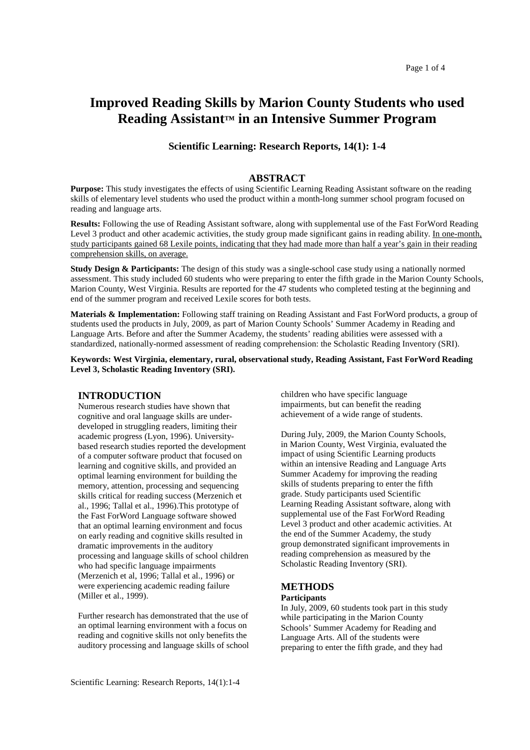# **Improved Reading Skills by Marion County Students who used Reading Assistant™ in an Intensive Summer Program**

# **Scientific Learning: Research Reports, 14(1): 1-4**

# **ABSTRACT**

**Purpose:** This study investigates the effects of using Scientific Learning Reading Assistant software on the reading skills of elementary level students who used the product within a month-long summer school program focused on reading and language arts.

**Results:** Following the use of Reading Assistant software, along with supplemental use of the Fast ForWord Reading Level 3 product and other academic activities, the study group made significant gains in reading ability. In one-month, study participants gained 68 Lexile points, indicating that they had made more than half a year's gain in their reading comprehension skills, on average.

**Study Design & Participants:** The design of this study was a single-school case study using a nationally normed assessment. This study included 60 students who were preparing to enter the fifth grade in the Marion County Schools, Marion County, West Virginia. Results are reported for the 47 students who completed testing at the beginning and end of the summer program and received Lexile scores for both tests.

**Materials & Implementation:** Following staff training on Reading Assistant and Fast ForWord products, a group of students used the products in July, 2009, as part of Marion County Schools' Summer Academy in Reading and Language Arts. Before and after the Summer Academy, the students' reading abilities were assessed with a standardized, nationally-normed assessment of reading comprehension: the Scholastic Reading Inventory (SRI).

**Keywords: West Virginia, elementary, rural, observational study, Reading Assistant, Fast ForWord Reading Level 3, Scholastic Reading Inventory (SRI).** 

# **INTRODUCTION**

Numerous research studies have shown that cognitive and oral language skills are underdeveloped in struggling readers, limiting their academic progress (Lyon, 1996). Universitybased research studies reported the development of a computer software product that focused on learning and cognitive skills, and provided an optimal learning environment for building the memory, attention, processing and sequencing skills critical for reading success (Merzenich et al., 1996; Tallal et al., 1996).This prototype of the Fast ForWord Language software showed that an optimal learning environment and focus on early reading and cognitive skills resulted in dramatic improvements in the auditory processing and language skills of school children who had specific language impairments (Merzenich et al, 1996; Tallal et al., 1996) or were experiencing academic reading failure (Miller et al., 1999).

Further research has demonstrated that the use of an optimal learning environment with a focus on reading and cognitive skills not only benefits the auditory processing and language skills of school

grade. Study participants used Scientific Learning Reading Assistant software, along with supplemental use of the Fast ForWord Reading

Level 3 product and other academic activities. At the end of the Summer Academy, the study group demonstrated significant improvements in reading comprehension as measured by the Scholastic Reading Inventory (SRI).

During July, 2009, the Marion County Schools, in Marion County, West Virginia, evaluated the impact of using Scientific Learning products within an intensive Reading and Language Arts Summer Academy for improving the reading skills of students preparing to enter the fifth

children who have specific language impairments, but can benefit the reading achievement of a wide range of students.

## **METHODS Participants**

In July, 2009, 60 students took part in this study while participating in the Marion County Schools' Summer Academy for Reading and Language Arts. All of the students were preparing to enter the fifth grade, and they had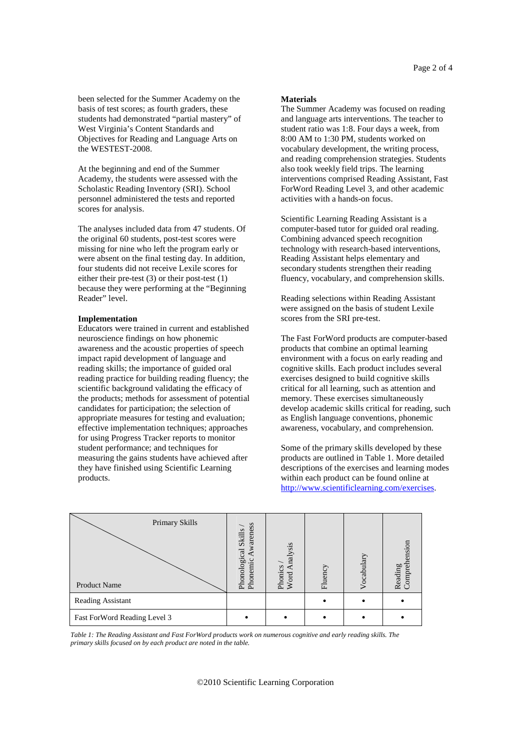been selected for the Summer Academy on the basis of test scores; as fourth graders, these students had demonstrated "partial mastery" of West Virginia's Content Standards and Objectives for Reading and Language Arts on the WESTEST-2008.

At the beginning and end of the Summer Academy, the students were assessed with the Scholastic Reading Inventory (SRI). School personnel administered the tests and reported scores for analysis.

The analyses included data from 47 students. Of the original 60 students, post-test scores were missing for nine who left the program early or were absent on the final testing day. In addition, four students did not receive Lexile scores for either their pre-test (3) or their post-test (1) because they were performing at the "Beginning Reader" level.

## **Implementation**

Educators were trained in current and established neuroscience findings on how phonemic awareness and the acoustic properties of speech impact rapid development of language and reading skills; the importance of guided oral reading practice for building reading fluency; the scientific background validating the efficacy of the products; methods for assessment of potential candidates for participation; the selection of appropriate measures for testing and evaluation; effective implementation techniques; approaches for using Progress Tracker reports to monitor student performance; and techniques for measuring the gains students have achieved after they have finished using Scientific Learning products.

#### **Materials**

The Summer Academy was focused on reading and language arts interventions. The teacher to student ratio was 1:8. Four days a week, from 8:00 AM to 1:30 PM, students worked on vocabulary development, the writing process, and reading comprehension strategies. Students also took weekly field trips. The learning interventions comprised Reading Assistant, Fast ForWord Reading Level 3, and other academic activities with a hands-on focus.

Scientific Learning Reading Assistant is a computer-based tutor for guided oral reading. Combining advanced speech recognition technology with research-based interventions, Reading Assistant helps elementary and secondary students strengthen their reading fluency, vocabulary, and comprehension skills.

Reading selections within Reading Assistant were assigned on the basis of student Lexile scores from the SRI pre-test.

The Fast ForWord products are computer-based products that combine an optimal learning environment with a focus on early reading and cognitive skills. Each product includes several exercises designed to build cognitive skills critical for all learning, such as attention and memory. These exercises simultaneously develop academic skills critical for reading, such as English language conventions, phonemic awareness, vocabulary, and comprehension.

Some of the primary skills developed by these products are outlined in Table 1. More detailed descriptions of the exercises and learning modes within each product can be found online at http://www.scientificlearning.com/exercises.



*Table 1: The Reading Assistant and Fast ForWord products work on numerous cognitive and early reading skills. The primary skills focused on by each product are noted in the table.*

## ©2010 Scientific Learning Corporation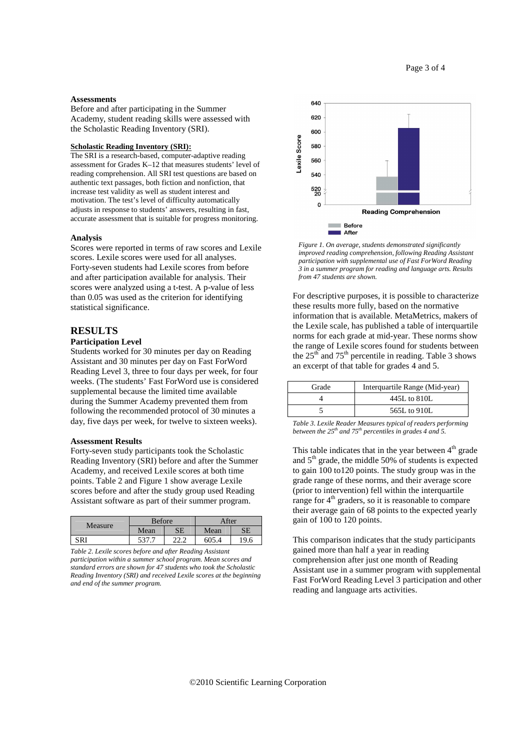#### **Assessments**

Before and after participating in the Summer Academy, student reading skills were assessed with the Scholastic Reading Inventory (SRI).

#### **Scholastic Reading Inventory (SRI):**

The SRI is a research-based, computer-adaptive reading assessment for Grades K–12 that measures students' level of reading comprehension. All SRI test questions are based on authentic text passages, both fiction and nonfiction, that increase test validity as well as student interest and motivation. The test's level of difficulty automatically adjusts in response to students' answers, resulting in fast, accurate assessment that is suitable for progress monitoring.

#### **Analysis**

Scores were reported in terms of raw scores and Lexile scores. Lexile scores were used for all analyses. Forty-seven students had Lexile scores from before and after participation available for analysis. Their scores were analyzed using a t-test. A p-value of less than 0.05 was used as the criterion for identifying statistical significance.

# **RESULTS**

#### **Participation Level**

Students worked for 30 minutes per day on Reading Assistant and 30 minutes per day on Fast ForWord Reading Level 3, three to four days per week, for four weeks. (The students' Fast ForWord use is considered supplemental because the limited time available during the Summer Academy prevented them from following the recommended protocol of 30 minutes a day, five days per week, for twelve to sixteen weeks).

#### **Assessment Results**

Forty-seven study participants took the Scholastic Reading Inventory (SRI) before and after the Summer Academy, and received Lexile scores at both time points. Table 2 and Figure 1 show average Lexile scores before and after the study group used Reading Assistant software as part of their summer program.

| Measure | <b>Before</b> |    | After |      |
|---------|---------------|----|-------|------|
|         | Mean          | SЕ | Mean  | SЕ   |
| SR 1    | 537           | ົາ | 605.4 | 19.6 |

*Table 2. Lexile scores before and after Reading Assistant participation within a summer school program. Mean scores and standard errors are shown for 47 students who took the Scholastic Reading Inventory (SRI) and received Lexile scores at the beginning and end of the summer program.* 



*Figure 1. On average, students demonstrated significantly improved reading comprehension, following Reading Assistant participation with supplemental use of Fast ForWord Reading 3 in a summer program for reading and language arts. Results from 47 students are shown.*

For descriptive purposes, it is possible to characterize these results more fully, based on the normative information that is available. MetaMetrics, makers of the Lexile scale, has published a table of interquartile norms for each grade at mid-year. These norms show the range of Lexile scores found for students between the  $25<sup>th</sup>$  and  $75<sup>th</sup>$  percentile in reading. Table 3 shows an excerpt of that table for grades 4 and 5.

| Grade | Interquartile Range (Mid-year) |
|-------|--------------------------------|
|       | 445L to 810L                   |
|       | 565L to 910L                   |

*Table 3. Lexile Reader Measures typical of readers performing between the 25th and 75th percentiles in grades 4 and 5.*

This table indicates that in the year between  $4<sup>th</sup>$  grade and  $5<sup>th</sup>$  grade, the middle 50% of students is expected to gain 100 to120 points. The study group was in the grade range of these norms, and their average score (prior to intervention) fell within the interquartile range for 4<sup>th</sup> graders, so it is reasonable to compare their average gain of 68 points to the expected yearly gain of 100 to 120 points.

This comparison indicates that the study participants gained more than half a year in reading comprehension after just one month of Reading Assistant use in a summer program with supplemental Fast ForWord Reading Level 3 participation and other reading and language arts activities.